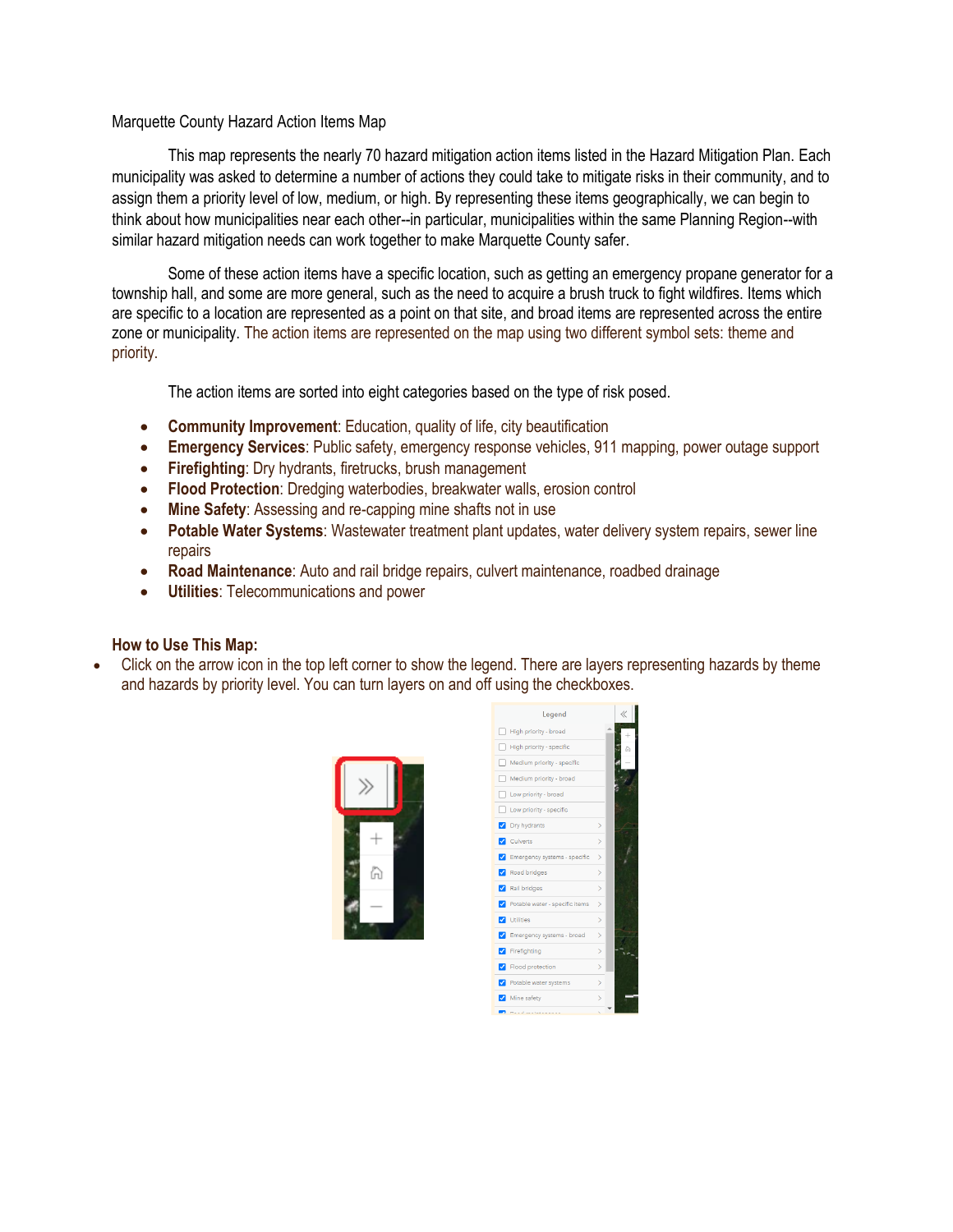## Marquette County Hazard Action Items Map

This map represents the nearly 70 hazard mitigation action items listed in the Hazard Mitigation Plan. Each municipality was asked to determine a number of actions they could take to mitigate risks in their community, and to assign them a priority level of low, medium, or high. By representing these items geographically, we can begin to think about how municipalities near each other--in particular, municipalities within the same Planning Region--with similar hazard mitigation needs can work together to make Marquette County safer.

Some of these action items have a specific location, such as getting an emergency propane generator for a township hall, and some are more general, such as the need to acquire a brush truck to fight wildfires. Items which are specific to a location are represented as a point on that site, and broad items are represented across the entire zone or municipality. The action items are represented on the map using two different symbol sets: theme and priority.

The action items are sorted into eight categories based on the type of risk posed.

- **Community Improvement**: Education, quality of life, city beautification
- **Emergency Services**: Public safety, emergency response vehicles, 911 mapping, power outage support
- **Firefighting**: Dry hydrants, firetrucks, brush management
- **Flood Protection**: Dredging waterbodies, breakwater walls, erosion control
- **Mine Safety**: Assessing and re-capping mine shafts not in use
- **Potable Water Systems**: Wastewater treatment plant updates, water delivery system repairs, sewer line repairs
- **Road Maintenance**: Auto and rail bridge repairs, culvert maintenance, roadbed drainage
- **Utilities**: Telecommunications and power

## **How to Use This Map:**

• Click on the arrow icon in the top left corner to show the legend. There are layers representing hazards by theme and hazards by priority level. You can turn layers on and off using the checkboxes.